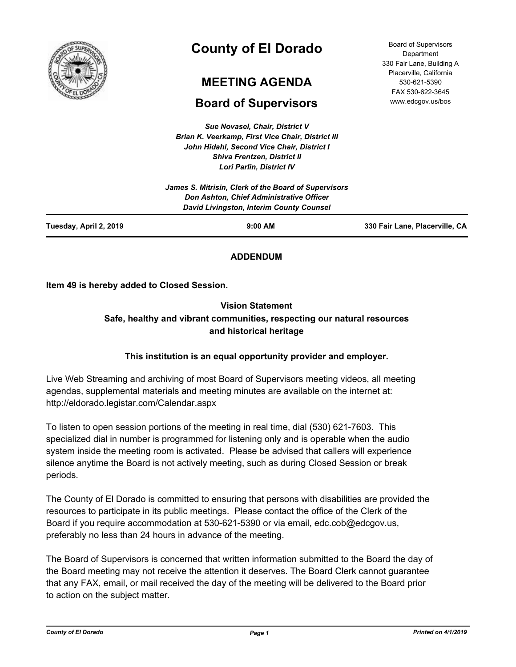

# **County of El Dorado**

## **MEETING AGENDA**

## **Board of Supervisors**

*Sue Novasel, Chair, District V Brian K. Veerkamp, First Vice Chair, District III John Hidahl, Second Vice Chair, District I Shiva Frentzen, District II Lori Parlin, District IV*

|                        | James S. Mitrisin, Clerk of the Board of Supervisors<br><b>Don Ashton, Chief Administrative Officer</b><br>David Livingston, Interim County Counsel |                                |
|------------------------|-----------------------------------------------------------------------------------------------------------------------------------------------------|--------------------------------|
| Tuesday, April 2, 2019 | $9:00$ AM                                                                                                                                           | 330 Fair Lane, Placerville, CA |

### **ADDENDUM**

**Item 49 is hereby added to Closed Session.**

## **Vision Statement Safe, healthy and vibrant communities, respecting our natural resources and historical heritage**

## **This institution is an equal opportunity provider and employer.**

Live Web Streaming and archiving of most Board of Supervisors meeting videos, all meeting agendas, supplemental materials and meeting minutes are available on the internet at: http://eldorado.legistar.com/Calendar.aspx

To listen to open session portions of the meeting in real time, dial (530) 621-7603. This specialized dial in number is programmed for listening only and is operable when the audio system inside the meeting room is activated. Please be advised that callers will experience silence anytime the Board is not actively meeting, such as during Closed Session or break periods.

The County of El Dorado is committed to ensuring that persons with disabilities are provided the resources to participate in its public meetings. Please contact the office of the Clerk of the Board if you require accommodation at 530-621-5390 or via email, edc.cob@edcgov.us, preferably no less than 24 hours in advance of the meeting.

The Board of Supervisors is concerned that written information submitted to the Board the day of the Board meeting may not receive the attention it deserves. The Board Clerk cannot guarantee that any FAX, email, or mail received the day of the meeting will be delivered to the Board prior to action on the subject matter.

Board of Supervisors **Department** 330 Fair Lane, Building A Placerville, California 530-621-5390 FAX 530-622-3645 www.edcgov.us/bos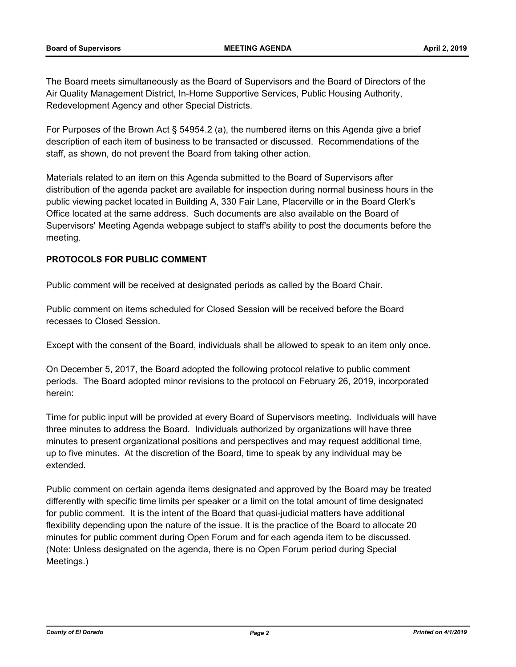The Board meets simultaneously as the Board of Supervisors and the Board of Directors of the Air Quality Management District, In-Home Supportive Services, Public Housing Authority, Redevelopment Agency and other Special Districts.

For Purposes of the Brown Act § 54954.2 (a), the numbered items on this Agenda give a brief description of each item of business to be transacted or discussed. Recommendations of the staff, as shown, do not prevent the Board from taking other action.

Materials related to an item on this Agenda submitted to the Board of Supervisors after distribution of the agenda packet are available for inspection during normal business hours in the public viewing packet located in Building A, 330 Fair Lane, Placerville or in the Board Clerk's Office located at the same address. Such documents are also available on the Board of Supervisors' Meeting Agenda webpage subject to staff's ability to post the documents before the meeting.

#### **PROTOCOLS FOR PUBLIC COMMENT**

Public comment will be received at designated periods as called by the Board Chair.

Public comment on items scheduled for Closed Session will be received before the Board recesses to Closed Session.

Except with the consent of the Board, individuals shall be allowed to speak to an item only once.

On December 5, 2017, the Board adopted the following protocol relative to public comment periods. The Board adopted minor revisions to the protocol on February 26, 2019, incorporated herein:

Time for public input will be provided at every Board of Supervisors meeting. Individuals will have three minutes to address the Board. Individuals authorized by organizations will have three minutes to present organizational positions and perspectives and may request additional time, up to five minutes. At the discretion of the Board, time to speak by any individual may be extended.

Public comment on certain agenda items designated and approved by the Board may be treated differently with specific time limits per speaker or a limit on the total amount of time designated for public comment. It is the intent of the Board that quasi-judicial matters have additional flexibility depending upon the nature of the issue. It is the practice of the Board to allocate 20 minutes for public comment during Open Forum and for each agenda item to be discussed. (Note: Unless designated on the agenda, there is no Open Forum period during Special Meetings.)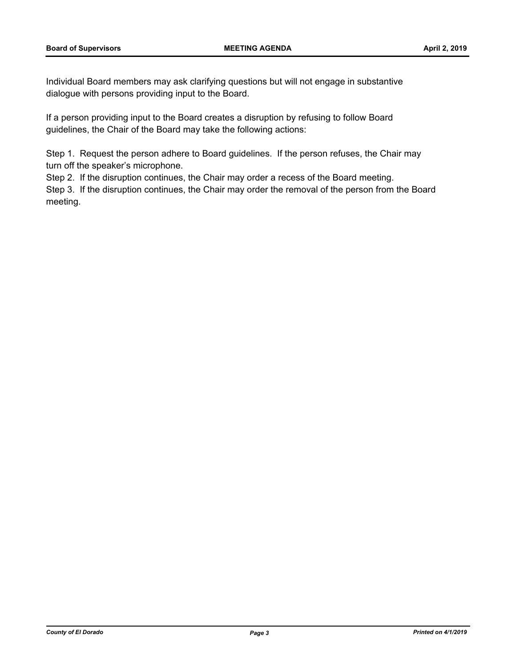Individual Board members may ask clarifying questions but will not engage in substantive dialogue with persons providing input to the Board.

If a person providing input to the Board creates a disruption by refusing to follow Board guidelines, the Chair of the Board may take the following actions:

Step 1. Request the person adhere to Board guidelines. If the person refuses, the Chair may turn off the speaker's microphone.

Step 2. If the disruption continues, the Chair may order a recess of the Board meeting.

Step 3. If the disruption continues, the Chair may order the removal of the person from the Board meeting.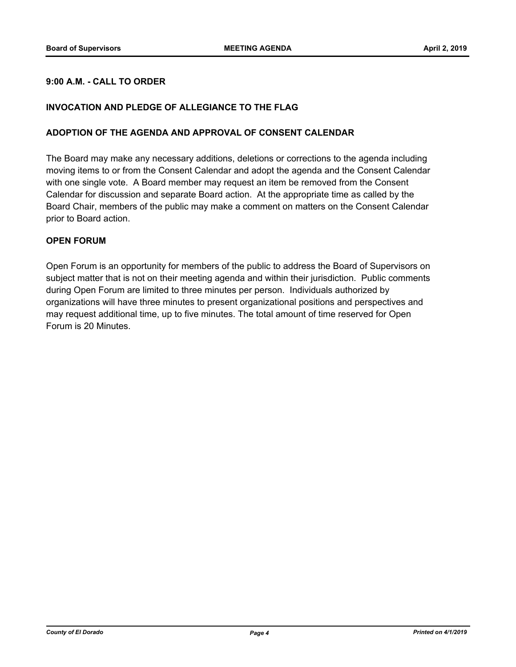#### **9:00 A.M. - CALL TO ORDER**

#### **INVOCATION AND PLEDGE OF ALLEGIANCE TO THE FLAG**

#### **ADOPTION OF THE AGENDA AND APPROVAL OF CONSENT CALENDAR**

The Board may make any necessary additions, deletions or corrections to the agenda including moving items to or from the Consent Calendar and adopt the agenda and the Consent Calendar with one single vote. A Board member may request an item be removed from the Consent Calendar for discussion and separate Board action. At the appropriate time as called by the Board Chair, members of the public may make a comment on matters on the Consent Calendar prior to Board action.

#### **OPEN FORUM**

Open Forum is an opportunity for members of the public to address the Board of Supervisors on subject matter that is not on their meeting agenda and within their jurisdiction. Public comments during Open Forum are limited to three minutes per person. Individuals authorized by organizations will have three minutes to present organizational positions and perspectives and may request additional time, up to five minutes. The total amount of time reserved for Open Forum is 20 Minutes.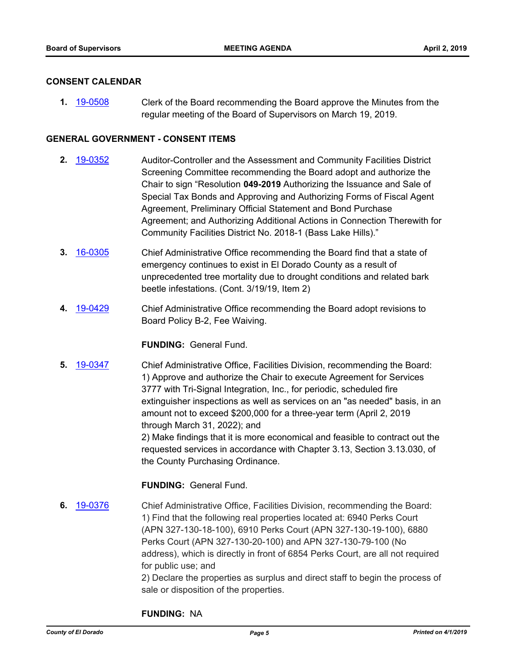#### **CONSENT CALENDAR**

**1.** [19-0508](http://eldorado.legistar.com/gateway.aspx?m=l&id=/matter.aspx?key=25829) Clerk of the Board recommending the Board approve the Minutes from the regular meeting of the Board of Supervisors on March 19, 2019.

#### **GENERAL GOVERNMENT - CONSENT ITEMS**

- **2.** [19-0352](http://eldorado.legistar.com/gateway.aspx?m=l&id=/matter.aspx?key=25673) Auditor-Controller and the Assessment and Community Facilities District Screening Committee recommending the Board adopt and authorize the Chair to sign "Resolution **049-2019** Authorizing the Issuance and Sale of Special Tax Bonds and Approving and Authorizing Forms of Fiscal Agent Agreement, Preliminary Official Statement and Bond Purchase Agreement; and Authorizing Additional Actions in Connection Therewith for Community Facilities District No. 2018-1 (Bass Lake Hills)."
- **3.** [16-0305](http://eldorado.legistar.com/gateway.aspx?m=l&id=/matter.aspx?key=20961) Chief Administrative Office recommending the Board find that a state of emergency continues to exist in El Dorado County as a result of unprecedented tree mortality due to drought conditions and related bark beetle infestations. (Cont. 3/19/19, Item 2)
- **4.** [19-0429](http://eldorado.legistar.com/gateway.aspx?m=l&id=/matter.aspx?key=25750) Chief Administrative Office recommending the Board adopt revisions to Board Policy B-2, Fee Waiving.

#### **FUNDING:** General Fund.

**5.** [19-0347](http://eldorado.legistar.com/gateway.aspx?m=l&id=/matter.aspx?key=25668) Chief Administrative Office, Facilities Division, recommending the Board: 1) Approve and authorize the Chair to execute Agreement for Services 3777 with Tri-Signal Integration, Inc., for periodic, scheduled fire extinguisher inspections as well as services on an "as needed" basis, in an amount not to exceed \$200,000 for a three-year term (April 2, 2019 through March 31, 2022); and 2) Make findings that it is more economical and feasible to contract out the requested services in accordance with Chapter 3.13, Section 3.13.030, of the County Purchasing Ordinance.

#### **FUNDING:** General Fund.

**6.** [19-0376](http://eldorado.legistar.com/gateway.aspx?m=l&id=/matter.aspx?key=25697) Chief Administrative Office, Facilities Division, recommending the Board: 1) Find that the following real properties located at: 6940 Perks Court (APN 327-130-18-100), 6910 Perks Court (APN 327-130-19-100), 6880 Perks Court (APN 327-130-20-100) and APN 327-130-79-100 (No address), which is directly in front of 6854 Perks Court, are all not required for public use; and

2) Declare the properties as surplus and direct staff to begin the process of sale or disposition of the properties.

#### **FUNDING:** NA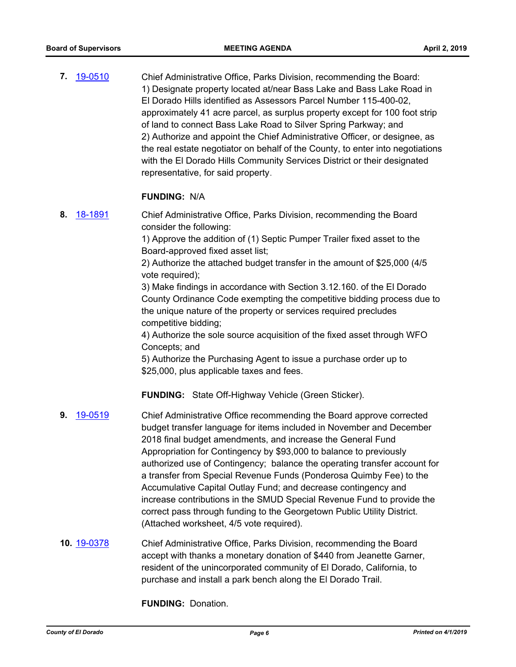**7.** [19-0510](http://eldorado.legistar.com/gateway.aspx?m=l&id=/matter.aspx?key=25831) Chief Administrative Office, Parks Division, recommending the Board: 1) Designate property located at/near Bass Lake and Bass Lake Road in El Dorado Hills identified as Assessors Parcel Number 115-400-02, approximately 41 acre parcel, as surplus property except for 100 foot strip of land to connect Bass Lake Road to Silver Spring Parkway; and 2) Authorize and appoint the Chief Administrative Officer, or designee, as the real estate negotiator on behalf of the County, to enter into negotiations with the El Dorado Hills Community Services District or their designated representative, for said property.

#### **FUNDING:** N/A

**8.** [18-1891](http://eldorado.legistar.com/gateway.aspx?m=l&id=/matter.aspx?key=25241) Chief Administrative Office, Parks Division, recommending the Board consider the following:

> 1) Approve the addition of (1) Septic Pumper Trailer fixed asset to the Board-approved fixed asset list;

2) Authorize the attached budget transfer in the amount of \$25,000 (4/5 vote required);

3) Make findings in accordance with Section 3.12.160. of the El Dorado County Ordinance Code exempting the competitive bidding process due to the unique nature of the property or services required precludes competitive bidding;

4) Authorize the sole source acquisition of the fixed asset through WFO Concepts; and

5) Authorize the Purchasing Agent to issue a purchase order up to \$25,000, plus applicable taxes and fees.

**FUNDING:** State Off-Highway Vehicle (Green Sticker).

- **9.** [19-0519](http://eldorado.legistar.com/gateway.aspx?m=l&id=/matter.aspx?key=25840) Chief Administrative Office recommending the Board approve corrected budget transfer language for items included in November and December 2018 final budget amendments, and increase the General Fund Appropriation for Contingency by \$93,000 to balance to previously authorized use of Contingency; balance the operating transfer account for a transfer from Special Revenue Funds (Ponderosa Quimby Fee) to the Accumulative Capital Outlay Fund; and decrease contingency and increase contributions in the SMUD Special Revenue Fund to provide the correct pass through funding to the Georgetown Public Utility District. (Attached worksheet, 4/5 vote required).
- **10.** [19-0378](http://eldorado.legistar.com/gateway.aspx?m=l&id=/matter.aspx?key=25699) Chief Administrative Office, Parks Division, recommending the Board accept with thanks a monetary donation of \$440 from Jeanette Garner, resident of the unincorporated community of El Dorado, California, to purchase and install a park bench along the El Dorado Trail.

**FUNDING:** Donation.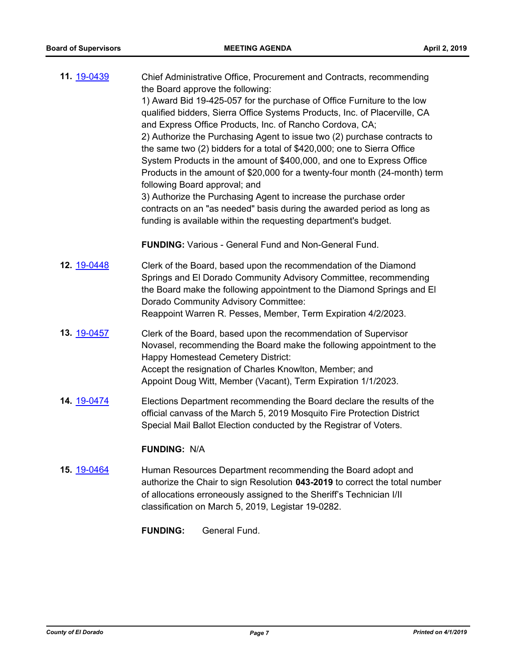| 11. 19-0439 | Chief Administrative Office, Procurement and Contracts, recommending<br>the Board approve the following:<br>1) Award Bid 19-425-057 for the purchase of Office Furniture to the low<br>qualified bidders, Sierra Office Systems Products, Inc. of Placerville, CA<br>and Express Office Products, Inc. of Rancho Cordova, CA;<br>2) Authorize the Purchasing Agent to issue two (2) purchase contracts to<br>the same two (2) bidders for a total of \$420,000; one to Sierra Office<br>System Products in the amount of \$400,000, and one to Express Office<br>Products in the amount of \$20,000 for a twenty-four month (24-month) term<br>following Board approval; and<br>3) Authorize the Purchasing Agent to increase the purchase order<br>contracts on an "as needed" basis during the awarded period as long as<br>funding is available within the requesting department's budget. |
|-------------|-----------------------------------------------------------------------------------------------------------------------------------------------------------------------------------------------------------------------------------------------------------------------------------------------------------------------------------------------------------------------------------------------------------------------------------------------------------------------------------------------------------------------------------------------------------------------------------------------------------------------------------------------------------------------------------------------------------------------------------------------------------------------------------------------------------------------------------------------------------------------------------------------|
|             | <b>FUNDING:</b> Various - General Fund and Non-General Fund.                                                                                                                                                                                                                                                                                                                                                                                                                                                                                                                                                                                                                                                                                                                                                                                                                                  |
| 12. 19-0448 | Clerk of the Board, based upon the recommendation of the Diamond<br>Springs and El Dorado Community Advisory Committee, recommending<br>the Board make the following appointment to the Diamond Springs and El<br>Dorado Community Advisory Committee:<br>Reappoint Warren R. Pesses, Member, Term Expiration 4/2/2023.                                                                                                                                                                                                                                                                                                                                                                                                                                                                                                                                                                       |
| 13. 19-0457 | Clerk of the Board, based upon the recommendation of Supervisor<br>Novasel, recommending the Board make the following appointment to the<br><b>Happy Homestead Cemetery District:</b><br>Accept the resignation of Charles Knowlton, Member; and<br>Appoint Doug Witt, Member (Vacant), Term Expiration 1/1/2023.                                                                                                                                                                                                                                                                                                                                                                                                                                                                                                                                                                             |
| 14. 19-0474 | Elections Department recommending the Board declare the results of the<br>official canvass of the March 5, 2019 Mosquito Fire Protection District                                                                                                                                                                                                                                                                                                                                                                                                                                                                                                                                                                                                                                                                                                                                             |

#### **FUNDING:** N/A

**15.** [19-0464](http://eldorado.legistar.com/gateway.aspx?m=l&id=/matter.aspx?key=25785) Human Resources Department recommending the Board adopt and authorize the Chair to sign Resolution **043-2019** to correct the total number of allocations erroneously assigned to the Sheriff's Technician I/II classification on March 5, 2019, Legistar 19-0282.

Special Mail Ballot Election conducted by the Registrar of Voters.

**FUNDING:** General Fund.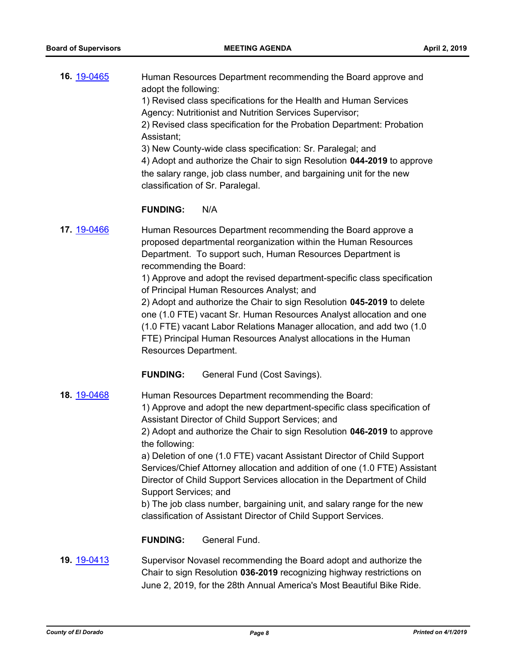| 16. 19-0465        | Human Resources Department recommending the Board approve and<br>adopt the following:<br>1) Revised class specifications for the Health and Human Services<br>Agency: Nutritionist and Nutrition Services Supervisor;<br>2) Revised class specification for the Probation Department: Probation<br>Assistant;<br>3) New County-wide class specification: Sr. Paralegal; and<br>4) Adopt and authorize the Chair to sign Resolution 044-2019 to approve<br>the salary range, job class number, and bargaining unit for the new<br>classification of Sr. Paralegal.                                                                                                                          |
|--------------------|--------------------------------------------------------------------------------------------------------------------------------------------------------------------------------------------------------------------------------------------------------------------------------------------------------------------------------------------------------------------------------------------------------------------------------------------------------------------------------------------------------------------------------------------------------------------------------------------------------------------------------------------------------------------------------------------|
|                    | <b>FUNDING:</b><br>N/A                                                                                                                                                                                                                                                                                                                                                                                                                                                                                                                                                                                                                                                                     |
| <b>17. 19-0466</b> | Human Resources Department recommending the Board approve a<br>proposed departmental reorganization within the Human Resources<br>Department. To support such, Human Resources Department is<br>recommending the Board:<br>1) Approve and adopt the revised department-specific class specification<br>of Principal Human Resources Analyst; and<br>2) Adopt and authorize the Chair to sign Resolution 045-2019 to delete<br>one (1.0 FTE) vacant Sr. Human Resources Analyst allocation and one<br>(1.0 FTE) vacant Labor Relations Manager allocation, and add two (1.0<br>FTE) Principal Human Resources Analyst allocations in the Human<br>Resources Department.                     |
|                    | <b>FUNDING:</b><br>General Fund (Cost Savings).                                                                                                                                                                                                                                                                                                                                                                                                                                                                                                                                                                                                                                            |
| 18. 19-0468        | Human Resources Department recommending the Board:<br>1) Approve and adopt the new department-specific class specification of<br>Assistant Director of Child Support Services; and<br>2) Adopt and authorize the Chair to sign Resolution 046-2019 to approve<br>the following:<br>a) Deletion of one (1.0 FTE) vacant Assistant Director of Child Support<br>Services/Chief Attorney allocation and addition of one (1.0 FTE) Assistant<br>Director of Child Support Services allocation in the Department of Child<br>Support Services; and<br>b) The job class number, bargaining unit, and salary range for the new<br>classification of Assistant Director of Child Support Services. |
|                    | General Fund.<br><b>FUNDING:</b>                                                                                                                                                                                                                                                                                                                                                                                                                                                                                                                                                                                                                                                           |
| 19. 19-0413        | Supervisor Novasel recommending the Board adopt and authorize the<br>Chair to sign Resolution 036-2019 recognizing highway restrictions on<br>June 2, 2019, for the 28th Annual America's Most Beautiful Bike Ride.                                                                                                                                                                                                                                                                                                                                                                                                                                                                        |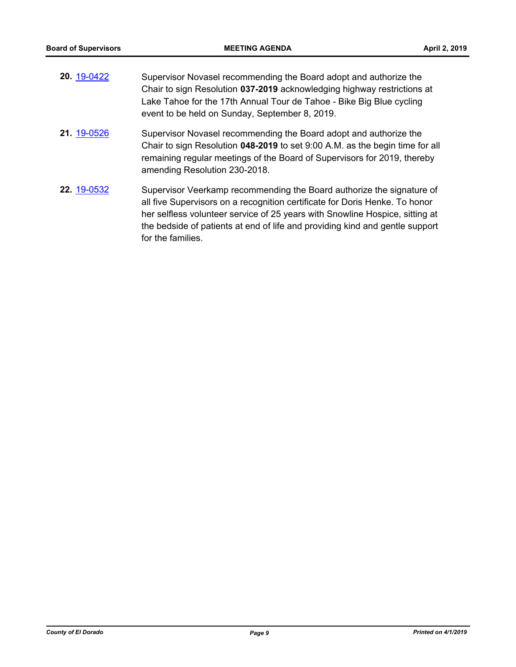| 20. 19-0422 | Supervisor Novasel recommending the Board adopt and authorize the<br>Chair to sign Resolution 037-2019 acknowledging highway restrictions at<br>Lake Tahoe for the 17th Annual Tour de Tahoe - Bike Big Blue cycling<br>event to be held on Sunday, September 8, 2019.                                                                    |
|-------------|-------------------------------------------------------------------------------------------------------------------------------------------------------------------------------------------------------------------------------------------------------------------------------------------------------------------------------------------|
| 21. 19-0526 | Supervisor Novasel recommending the Board adopt and authorize the<br>Chair to sign Resolution 048-2019 to set 9:00 A.M. as the begin time for all<br>remaining regular meetings of the Board of Supervisors for 2019, thereby<br>amending Resolution 230-2018.                                                                            |
| 22. 19-0532 | Supervisor Veerkamp recommending the Board authorize the signature of<br>all five Supervisors on a recognition certificate for Doris Henke. To honor<br>her selfless volunteer service of 25 years with Snowline Hospice, sitting at<br>the bedside of patients at end of life and providing kind and gentle support<br>for the families. |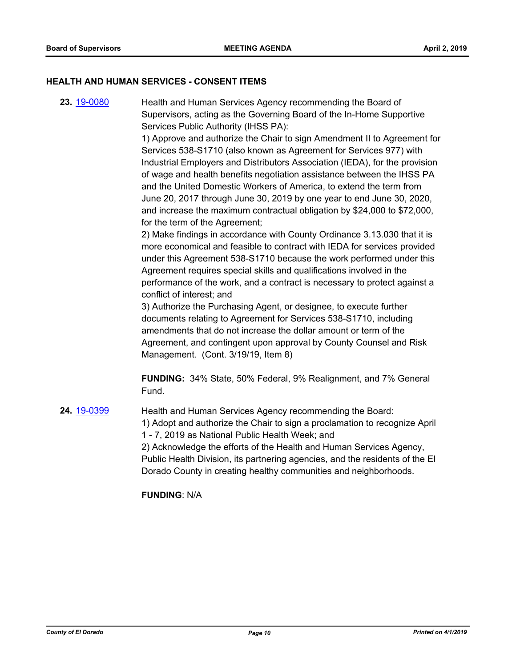#### **HEALTH AND HUMAN SERVICES - CONSENT ITEMS**

**23.** [19-0080](http://eldorado.legistar.com/gateway.aspx?m=l&id=/matter.aspx?key=25401) Health and Human Services Agency recommending the Board of Supervisors, acting as the Governing Board of the In-Home Supportive Services Public Authority (IHSS PA):

> 1) Approve and authorize the Chair to sign Amendment II to Agreement for Services 538-S1710 (also known as Agreement for Services 977) with Industrial Employers and Distributors Association (IEDA), for the provision of wage and health benefits negotiation assistance between the IHSS PA and the United Domestic Workers of America, to extend the term from June 20, 2017 through June 30, 2019 by one year to end June 30, 2020, and increase the maximum contractual obligation by \$24,000 to \$72,000, for the term of the Agreement;

2) Make findings in accordance with County Ordinance 3.13.030 that it is more economical and feasible to contract with IEDA for services provided under this Agreement 538-S1710 because the work performed under this Agreement requires special skills and qualifications involved in the performance of the work, and a contract is necessary to protect against a conflict of interest; and

3) Authorize the Purchasing Agent, or designee, to execute further documents relating to Agreement for Services 538-S1710, including amendments that do not increase the dollar amount or term of the Agreement, and contingent upon approval by County Counsel and Risk Management. (Cont. 3/19/19, Item 8)

**FUNDING:** 34% State, 50% Federal, 9% Realignment, and 7% General Fund.

**24.** [19-0399](http://eldorado.legistar.com/gateway.aspx?m=l&id=/matter.aspx?key=25720) Health and Human Services Agency recommending the Board: 1) Adopt and authorize the Chair to sign a proclamation to recognize April 1 - 7, 2019 as National Public Health Week; and 2) Acknowledge the efforts of the Health and Human Services Agency, Public Health Division, its partnering agencies, and the residents of the El Dorado County in creating healthy communities and neighborhoods.

**FUNDING**: N/A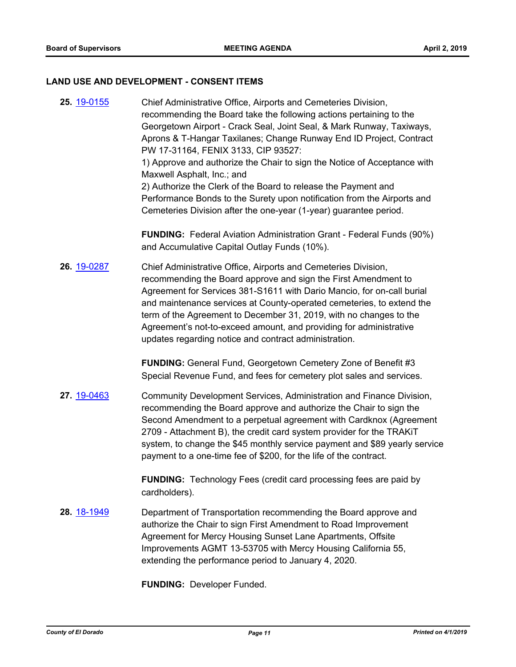#### **LAND USE AND DEVELOPMENT - CONSENT ITEMS**

**25.** [19-0155](http://eldorado.legistar.com/gateway.aspx?m=l&id=/matter.aspx?key=25475) Chief Administrative Office, Airports and Cemeteries Division, recommending the Board take the following actions pertaining to the Georgetown Airport - Crack Seal, Joint Seal, & Mark Runway, Taxiways, Aprons & T-Hangar Taxilanes; Change Runway End ID Project, Contract PW 17-31164, FENIX 3133, CIP 93527: 1) Approve and authorize the Chair to sign the Notice of Acceptance with Maxwell Asphalt, Inc.; and 2) Authorize the Clerk of the Board to release the Payment and Performance Bonds to the Surety upon notification from the Airports and Cemeteries Division after the one-year (1-year) guarantee period. **FUNDING:** Federal Aviation Administration Grant - Federal Funds (90%) and Accumulative Capital Outlay Funds (10%). **26.** [19-0287](http://eldorado.legistar.com/gateway.aspx?m=l&id=/matter.aspx?key=25609) Chief Administrative Office, Airports and Cemeteries Division, recommending the Board approve and sign the First Amendment to Agreement for Services 381-S1611 with Dario Mancio, for on-call burial and maintenance services at County-operated cemeteries, to extend the term of the Agreement to December 31, 2019, with no changes to the Agreement's not-to-exceed amount, and providing for administrative updates regarding notice and contract administration. **FUNDING:** General Fund, Georgetown Cemetery Zone of Benefit #3 Special Revenue Fund, and fees for cemetery plot sales and services. **27.** [19-0463](http://eldorado.legistar.com/gateway.aspx?m=l&id=/matter.aspx?key=25784) Community Development Services, Administration and Finance Division, recommending the Board approve and authorize the Chair to sign the Second Amendment to a perpetual agreement with Cardknox (Agreement 2709 - Attachment B), the credit card system provider for the TRAKiT system, to change the \$45 monthly service payment and \$89 yearly service payment to a one-time fee of \$200, for the life of the contract. **FUNDING:** Technology Fees (credit card processing fees are paid by cardholders). **28.** [18-1949](http://eldorado.legistar.com/gateway.aspx?m=l&id=/matter.aspx?key=25299) Department of Transportation recommending the Board approve and authorize the Chair to sign First Amendment to Road Improvement Agreement for Mercy Housing Sunset Lane Apartments, Offsite Improvements AGMT 13-53705 with Mercy Housing California 55, extending the performance period to January 4, 2020.

**FUNDING:** Developer Funded.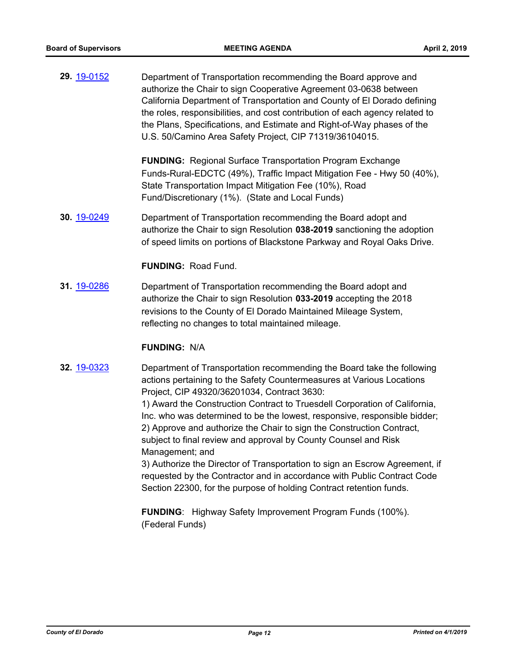**29.** [19-0152](http://eldorado.legistar.com/gateway.aspx?m=l&id=/matter.aspx?key=25472) Department of Transportation recommending the Board approve and authorize the Chair to sign Cooperative Agreement 03-0638 between California Department of Transportation and County of El Dorado defining the roles, responsibilities, and cost contribution of each agency related to the Plans, Specifications, and Estimate and Right-of-Way phases of the U.S. 50/Camino Area Safety Project, CIP 71319/36104015.

> **FUNDING:** Regional Surface Transportation Program Exchange Funds-Rural-EDCTC (49%), Traffic Impact Mitigation Fee - Hwy 50 (40%), State Transportation Impact Mitigation Fee (10%), Road Fund/Discretionary (1%). (State and Local Funds)

**30.** [19-0249](http://eldorado.legistar.com/gateway.aspx?m=l&id=/matter.aspx?key=25570) Department of Transportation recommending the Board adopt and authorize the Chair to sign Resolution **038-2019** sanctioning the adoption of speed limits on portions of Blackstone Parkway and Royal Oaks Drive.

**FUNDING:** Road Fund.

**31.** [19-0286](http://eldorado.legistar.com/gateway.aspx?m=l&id=/matter.aspx?key=25608) Department of Transportation recommending the Board adopt and authorize the Chair to sign Resolution **033-2019** accepting the 2018 revisions to the County of El Dorado Maintained Mileage System, reflecting no changes to total maintained mileage.

#### **FUNDING:** N/A

**32.** [19-0323](http://eldorado.legistar.com/gateway.aspx?m=l&id=/matter.aspx?key=25644) Department of Transportation recommending the Board take the following actions pertaining to the Safety Countermeasures at Various Locations Project, CIP 49320/36201034, Contract 3630:

> 1) Award the Construction Contract to Truesdell Corporation of California, Inc. who was determined to be the lowest, responsive, responsible bidder; 2) Approve and authorize the Chair to sign the Construction Contract, subject to final review and approval by County Counsel and Risk Management; and

3) Authorize the Director of Transportation to sign an Escrow Agreement, if requested by the Contractor and in accordance with Public Contract Code Section 22300, for the purpose of holding Contract retention funds.

**FUNDING**: Highway Safety Improvement Program Funds (100%). (Federal Funds)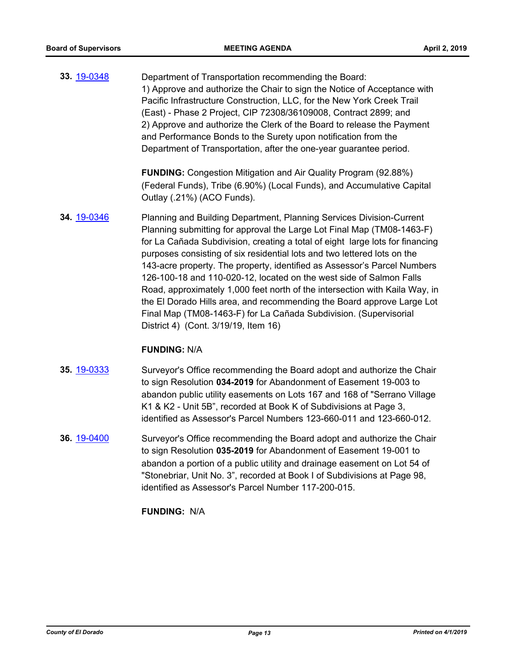**33.** [19-0348](http://eldorado.legistar.com/gateway.aspx?m=l&id=/matter.aspx?key=25669) Department of Transportation recommending the Board: 1) Approve and authorize the Chair to sign the Notice of Acceptance with Pacific Infrastructure Construction, LLC, for the New York Creek Trail (East) - Phase 2 Project, CIP 72308/36109008, Contract 2899; and 2) Approve and authorize the Clerk of the Board to release the Payment and Performance Bonds to the Surety upon notification from the Department of Transportation, after the one-year guarantee period.

> **FUNDING:** Congestion Mitigation and Air Quality Program (92.88%) (Federal Funds), Tribe (6.90%) (Local Funds), and Accumulative Capital Outlay (.21%) (ACO Funds).

**34.** [19-0346](http://eldorado.legistar.com/gateway.aspx?m=l&id=/matter.aspx?key=25667) Planning and Building Department, Planning Services Division-Current Planning submitting for approval the Large Lot Final Map (TM08-1463-F) for La Cañada Subdivision, creating a total of eight large lots for financing purposes consisting of six residential lots and two lettered lots on the 143-acre property. The property, identified as Assessor's Parcel Numbers 126-100-18 and 110-020-12, located on the west side of Salmon Falls Road, approximately 1,000 feet north of the intersection with Kaila Way, in the El Dorado Hills area, and recommending the Board approve Large Lot Final Map (TM08-1463-F) for La Cañada Subdivision. (Supervisorial District 4) (Cont. 3/19/19, Item 16)

#### **FUNDING:** N/A

- **35.** [19-0333](http://eldorado.legistar.com/gateway.aspx?m=l&id=/matter.aspx?key=25654) Surveyor's Office recommending the Board adopt and authorize the Chair to sign Resolution **034-2019** for Abandonment of Easement 19-003 to abandon public utility easements on Lots 167 and 168 of "Serrano Village K1 & K2 - Unit 5B", recorded at Book K of Subdivisions at Page 3, identified as Assessor's Parcel Numbers 123-660-011 and 123-660-012.
- **36.** [19-0400](http://eldorado.legistar.com/gateway.aspx?m=l&id=/matter.aspx?key=25721) Surveyor's Office recommending the Board adopt and authorize the Chair to sign Resolution **035-2019** for Abandonment of Easement 19-001 to abandon a portion of a public utility and drainage easement on Lot 54 of "Stonebriar, Unit No. 3", recorded at Book I of Subdivisions at Page 98, identified as Assessor's Parcel Number 117-200-015.

**FUNDING:** N/A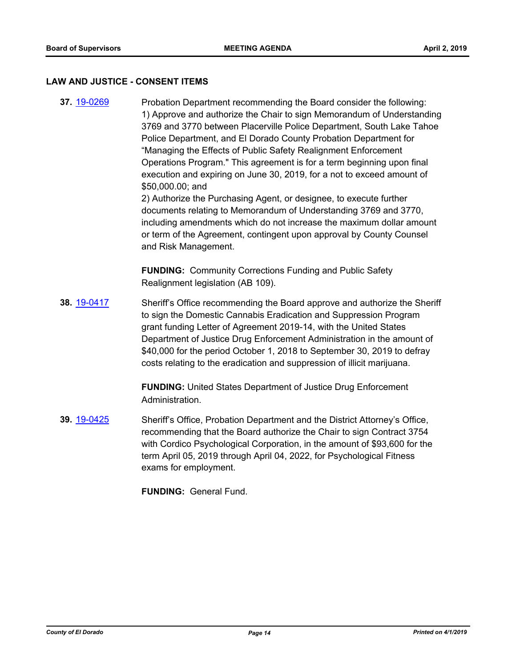#### **LAW AND JUSTICE - CONSENT ITEMS**

**37.** [19-0269](http://eldorado.legistar.com/gateway.aspx?m=l&id=/matter.aspx?key=25591) Probation Department recommending the Board consider the following: 1) Approve and authorize the Chair to sign Memorandum of Understanding 3769 and 3770 between Placerville Police Department, South Lake Tahoe Police Department, and El Dorado County Probation Department for "Managing the Effects of Public Safety Realignment Enforcement Operations Program." This agreement is for a term beginning upon final execution and expiring on June 30, 2019, for a not to exceed amount of \$50,000.00; and 2) Authorize the Purchasing Agent, or designee, to execute further

documents relating to Memorandum of Understanding 3769 and 3770, including amendments which do not increase the maximum dollar amount or term of the Agreement, contingent upon approval by County Counsel and Risk Management.

**FUNDING:** Community Corrections Funding and Public Safety Realignment legislation (AB 109).

**38.** [19-0417](http://eldorado.legistar.com/gateway.aspx?m=l&id=/matter.aspx?key=25738) Sheriff's Office recommending the Board approve and authorize the Sheriff to sign the Domestic Cannabis Eradication and Suppression Program grant funding Letter of Agreement 2019-14, with the United States Department of Justice Drug Enforcement Administration in the amount of \$40,000 for the period October 1, 2018 to September 30, 2019 to defray costs relating to the eradication and suppression of illicit marijuana.

> **FUNDING:** United States Department of Justice Drug Enforcement Administration.

**39.** [19-0425](http://eldorado.legistar.com/gateway.aspx?m=l&id=/matter.aspx?key=25746) Sheriff's Office, Probation Department and the District Attorney's Office, recommending that the Board authorize the Chair to sign Contract 3754 with Cordico Psychological Corporation, in the amount of \$93,600 for the term April 05, 2019 through April 04, 2022, for Psychological Fitness exams for employment.

**FUNDING:** General Fund.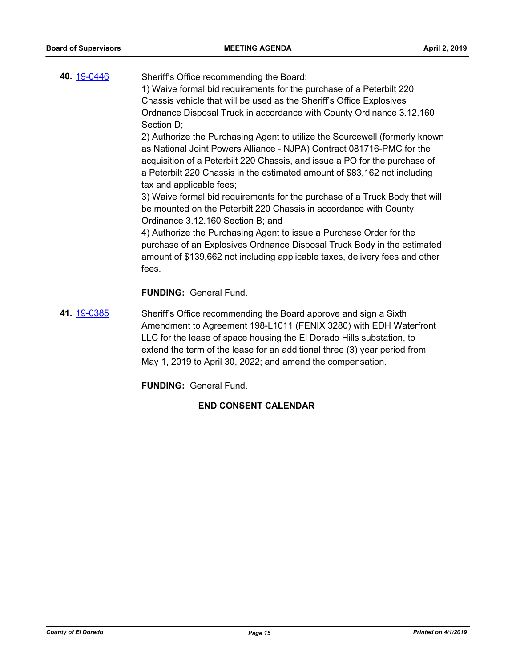| 40. 19-0446 | Sheriff's Office recommending the Board:<br>1) Waive formal bid requirements for the purchase of a Peterbilt 220<br>Chassis vehicle that will be used as the Sheriff's Office Explosives<br>Ordnance Disposal Truck in accordance with County Ordinance 3.12.160<br>Section D;<br>2) Authorize the Purchasing Agent to utilize the Sourcewell (formerly known<br>as National Joint Powers Alliance - NJPA) Contract 081716-PMC for the<br>acquisition of a Peterbilt 220 Chassis, and issue a PO for the purchase of<br>a Peterbilt 220 Chassis in the estimated amount of \$83,162 not including<br>tax and applicable fees;<br>3) Waive formal bid requirements for the purchase of a Truck Body that will<br>be mounted on the Peterbilt 220 Chassis in accordance with County<br>Ordinance 3.12.160 Section B; and<br>4) Authorize the Purchasing Agent to issue a Purchase Order for the<br>purchase of an Explosives Ordnance Disposal Truck Body in the estimated<br>amount of \$139,662 not including applicable taxes, delivery fees and other<br>fees. |
|-------------|------------------------------------------------------------------------------------------------------------------------------------------------------------------------------------------------------------------------------------------------------------------------------------------------------------------------------------------------------------------------------------------------------------------------------------------------------------------------------------------------------------------------------------------------------------------------------------------------------------------------------------------------------------------------------------------------------------------------------------------------------------------------------------------------------------------------------------------------------------------------------------------------------------------------------------------------------------------------------------------------------------------------------------------------------------------|
|             | <b>FUNDING: General Fund.</b>                                                                                                                                                                                                                                                                                                                                                                                                                                                                                                                                                                                                                                                                                                                                                                                                                                                                                                                                                                                                                                    |
| 41. 19-0385 | Sheriff's Office recommending the Board approve and sign a Sixth<br>Amendment to Agreement 198-L1011 (FENIX 3280) with EDH Waterfront<br>LLC for the lease of space housing the El Dorado Hills substation, to<br>extend the term of the lease for an additional three (3) year period from                                                                                                                                                                                                                                                                                                                                                                                                                                                                                                                                                                                                                                                                                                                                                                      |

May 1, 2019 to April 30, 2022; and amend the compensation.

**FUNDING:** General Fund.

## **END CONSENT CALENDAR**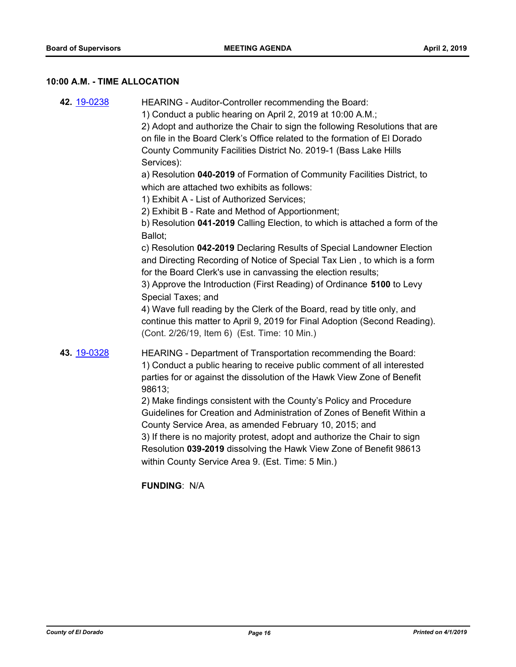## **10:00 A.M. - TIME ALLOCATION**

| 4) Wave full reading by the Clerk of the Board, read by title only, and | 42. 19-0238 | HEARING - Auditor-Controller recommending the Board:<br>1) Conduct a public hearing on April 2, 2019 at 10:00 A.M.;<br>2) Adopt and authorize the Chair to sign the following Resolutions that are<br>on file in the Board Clerk's Office related to the formation of El Dorado<br>County Community Facilities District No. 2019-1 (Bass Lake Hills<br>Services):<br>a) Resolution 040-2019 of Formation of Community Facilities District, to<br>which are attached two exhibits as follows:<br>1) Exhibit A - List of Authorized Services;<br>2) Exhibit B - Rate and Method of Apportionment;<br>b) Resolution 041-2019 Calling Election, to which is attached a form of the<br>Ballot;<br>c) Resolution 042-2019 Declaring Results of Special Landowner Election<br>and Directing Recording of Notice of Special Tax Lien, to which is a form<br>for the Board Clerk's use in canvassing the election results;<br>3) Approve the Introduction (First Reading) of Ordinance 5100 to Levy<br>Special Taxes; and |
|-------------------------------------------------------------------------|-------------|------------------------------------------------------------------------------------------------------------------------------------------------------------------------------------------------------------------------------------------------------------------------------------------------------------------------------------------------------------------------------------------------------------------------------------------------------------------------------------------------------------------------------------------------------------------------------------------------------------------------------------------------------------------------------------------------------------------------------------------------------------------------------------------------------------------------------------------------------------------------------------------------------------------------------------------------------------------------------------------------------------------|
|                                                                         | 43. 19-0328 | HEARING - Department of Transportation recommending the Board:<br>1) Conduct a public hearing to receive public comment of all interested<br>parties for or against the dissolution of the Hawk View Zone of Benefit<br>98613;<br>2) Make findings consistent with the County's Policy and Procedure<br>Guidelines for Creation and Administration of Zones of Benefit Within a<br>County Service Area, as amended February 10, 2015; and<br>3) If there is no majority protest, adopt and authorize the Chair to sign<br>Resolution 039-2019 dissolving the Hawk View Zone of Benefit 98613<br>within County Service Area 9. (Est. Time: 5 Min.)                                                                                                                                                                                                                                                                                                                                                                |

**FUNDING**: N/A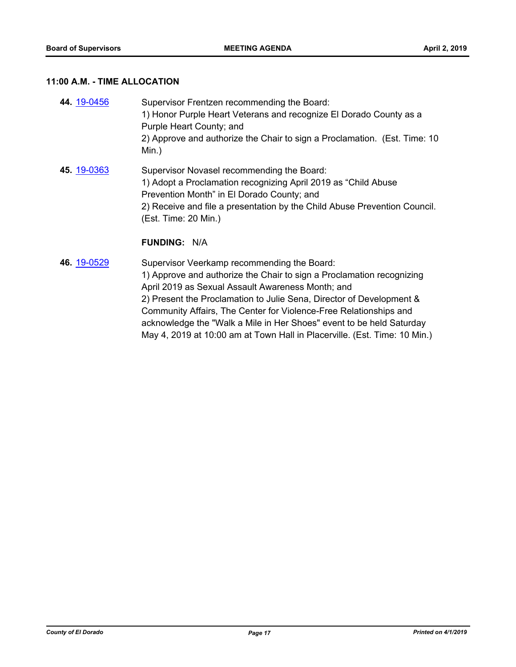#### **11:00 A.M. - TIME ALLOCATION**

| 44 19-0456 | Supervisor Frentzen recommending the Board:<br>1) Honor Purple Heart Veterans and recognize El Dorado County as a<br>Purple Heart County; and<br>2) Approve and authorize the Chair to sign a Proclamation. (Est. Time: 10<br>Min.)                                                   |
|------------|---------------------------------------------------------------------------------------------------------------------------------------------------------------------------------------------------------------------------------------------------------------------------------------|
| 45 19-0363 | Supervisor Novasel recommending the Board:<br>1) Adopt a Proclamation recognizing April 2019 as "Child Abuse<br>Prevention Month" in El Dorado County; and<br>2) Receive and file a presentation by the Child Abuse Prevention Council.<br>(Est. Time: 20 Min.)<br>$E$ UNININIA. NI/A |

#### **FUNDING:** N/A

**46.** [19-0529](http://eldorado.legistar.com/gateway.aspx?m=l&id=/matter.aspx?key=25850) Supervisor Veerkamp recommending the Board: 1) Approve and authorize the Chair to sign a Proclamation recognizing April 2019 as Sexual Assault Awareness Month; and 2) Present the Proclamation to Julie Sena, Director of Development & Community Affairs, The Center for Violence-Free Relationships and acknowledge the "Walk a Mile in Her Shoes" event to be held Saturday May 4, 2019 at 10:00 am at Town Hall in Placerville. (Est. Time: 10 Min.)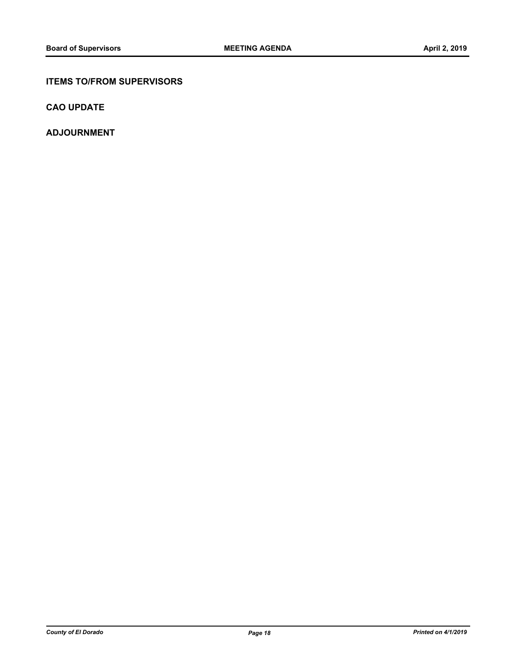#### **ITEMS TO/FROM SUPERVISORS**

**CAO UPDATE**

**ADJOURNMENT**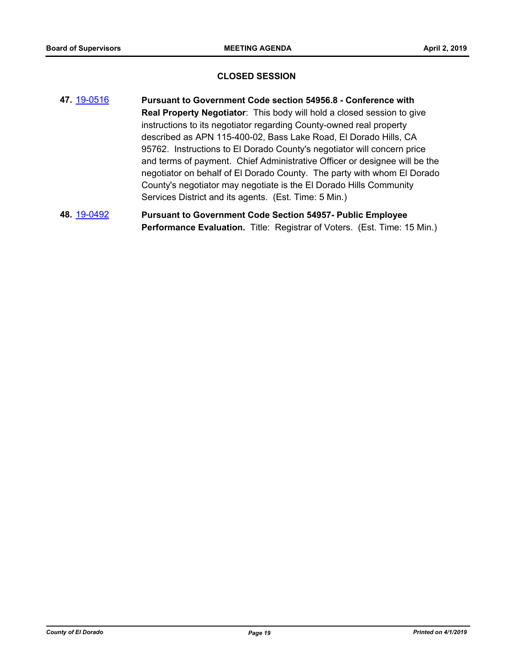#### **CLOSED SESSION**

- **47.** [19-0516](http://eldorado.legistar.com/gateway.aspx?m=l&id=/matter.aspx?key=25837) **Pursuant to Government Code section 54956.8 Conference with Real Property Negotiator**: This body will hold a closed session to give instructions to its negotiator regarding County-owned real property described as APN 115-400-02, Bass Lake Road, El Dorado Hills, CA 95762. Instructions to El Dorado County's negotiator will concern price and terms of payment. Chief Administrative Officer or designee will be the negotiator on behalf of El Dorado County. The party with whom El Dorado County's negotiator may negotiate is the El Dorado Hills Community Services District and its agents. (Est. Time: 5 Min.)
- **48.** [19-0492](http://eldorado.legistar.com/gateway.aspx?m=l&id=/matter.aspx?key=25813) **Pursuant to Government Code Section 54957- Public Employee Performance Evaluation.** Title: Registrar of Voters. (Est. Time: 15 Min.)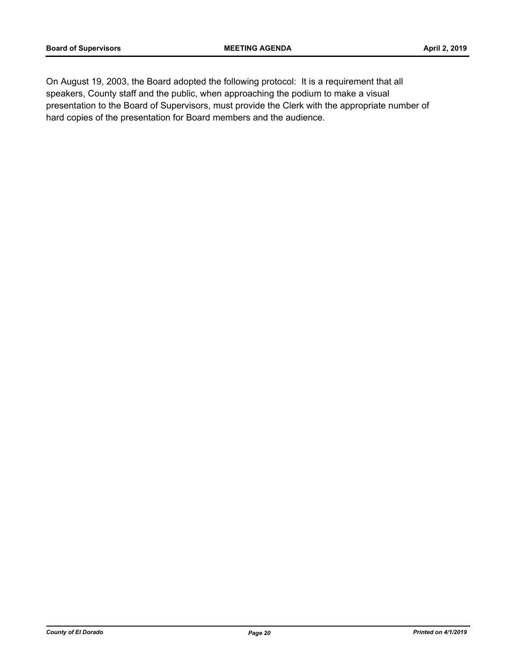On August 19, 2003, the Board adopted the following protocol: It is a requirement that all speakers, County staff and the public, when approaching the podium to make a visual presentation to the Board of Supervisors, must provide the Clerk with the appropriate number of hard copies of the presentation for Board members and the audience.